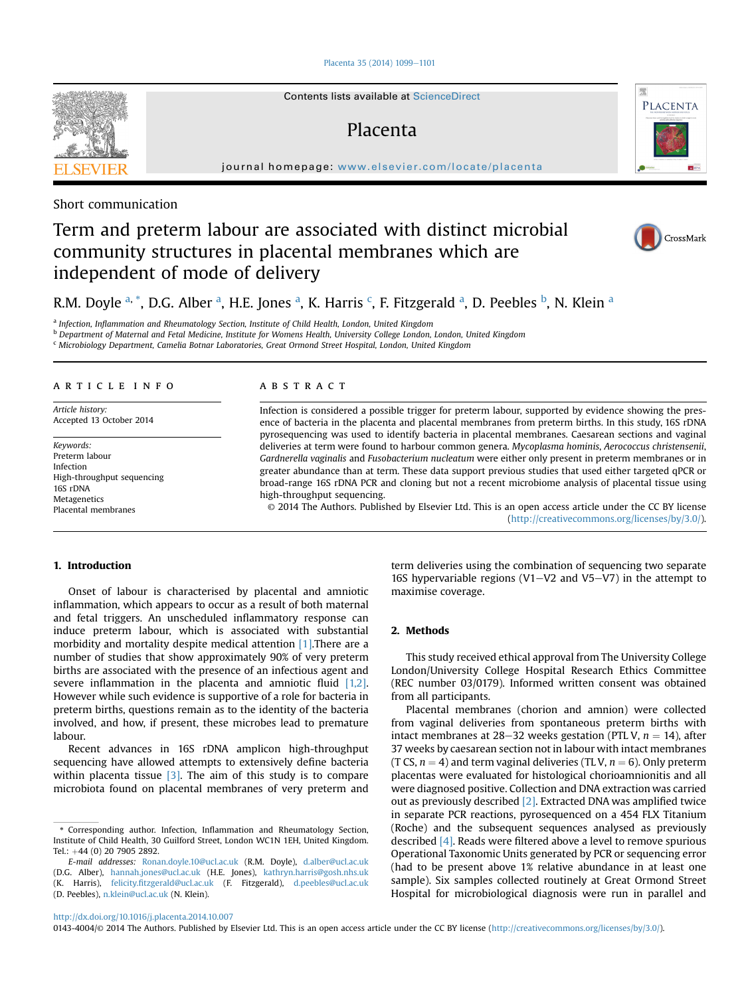## [Placenta 35 \(2014\) 1099](http://dx.doi.org/10.1016/j.placenta.2014.10.007)-[1101](http://dx.doi.org/10.1016/j.placenta.2014.10.007)

Contents lists available at ScienceDirect

## Placenta

journal homepage: [www.elsevier.com/locate/placenta](http://www.elsevier.com/locate/placenta)



## Term and preterm labour are associated with distinct microbial community structures in placental membranes which are independent of mode of delivery



CrossMark

PLACENTA

# R.M. Doyle <sup>a, \*</sup>, D.G. Alber <sup>a</sup>, H.E. Jones <sup>a</sup>, K. Harris <sup>c</sup>, F. Fitzgerald <sup>a</sup>, D. Peebles <sup>b</sup>, N. Klein <sup>a</sup>

<sup>a</sup> Infection, Inflammation and Rheumatology Section, Institute of Child Health, London, United Kingdom

<sup>b</sup> Department of Maternal and Fetal Medicine, Institute for Womens Health, University College London, London, United Kingdom

<sup>c</sup> Microbiology Department, Camelia Botnar Laboratories, Great Ormond Street Hospital, London, United Kingdom

## article info

Article history: Accepted 13 October 2014

Keywords: Preterm labour Infection High-throughput sequencing 16S rDNA **Metagenetics** Placental membranes

## **ABSTRACT**

Infection is considered a possible trigger for preterm labour, supported by evidence showing the presence of bacteria in the placenta and placental membranes from preterm births. In this study, 16S rDNA pyrosequencing was used to identify bacteria in placental membranes. Caesarean sections and vaginal deliveries at term were found to harbour common genera. Mycoplasma hominis, Aerococcus christensenii, Gardnerella vaginalis and Fusobacterium nucleatum were either only present in preterm membranes or in greater abundance than at term. These data support previous studies that used either targeted qPCR or broad-range 16S rDNA PCR and cloning but not a recent microbiome analysis of placental tissue using high-throughput sequencing.

© 2014 The Authors. Published by Elsevier Ltd. This is an open access article under the CC BY license [\(http://creativecommons.org/licenses/by/3.0/](http://creativecommons.org/licenses/by/3.0/)).

## 1. Introduction

Onset of labour is characterised by placental and amniotic inflammation, which appears to occur as a result of both maternal and fetal triggers. An unscheduled inflammatory response can induce preterm labour, which is associated with substantial morbidity and mortality despite medical attention [\[1\].](#page-2-0)There are a number of studies that show approximately 90% of very preterm births are associated with the presence of an infectious agent and severe inflammation in the placenta and amniotic fluid [\[1,2\].](#page-2-0) However while such evidence is supportive of a role for bacteria in preterm births, questions remain as to the identity of the bacteria involved, and how, if present, these microbes lead to premature labour.

Recent advances in 16S rDNA amplicon high-throughput sequencing have allowed attempts to extensively define bacteria within placenta tissue  $[3]$ . The aim of this study is to compare microbiota found on placental membranes of very preterm and term deliveries using the combination of sequencing two separate 16S hypervariable regions (V1 $-V$ 2 and V5 $-V$ 7) in the attempt to maximise coverage.

## 2. Methods

This study received ethical approval from The University College London/University College Hospital Research Ethics Committee (REC number 03/0179). Informed written consent was obtained from all participants.

Placental membranes (chorion and amnion) were collected from vaginal deliveries from spontaneous preterm births with intact membranes at 28–32 weeks gestation (PTL V,  $n = 14$ ), after 37 weeks by caesarean section not in labour with intact membranes (T CS,  $n = 4$ ) and term vaginal deliveries (TL V,  $n = 6$ ). Only preterm placentas were evaluated for histological chorioamnionitis and all were diagnosed positive. Collection and DNA extraction was carried out as previously described [\[2\].](#page-2-0) Extracted DNA was amplified twice in separate PCR reactions, pyrosequenced on a 454 FLX Titanium (Roche) and the subsequent sequences analysed as previously described [\[4\].](#page-2-0) Reads were filtered above a level to remove spurious Operational Taxonomic Units generated by PCR or sequencing error (had to be present above 1% relative abundance in at least one sample). Six samples collected routinely at Great Ormond Street Hospital for microbiological diagnosis were run in parallel and

<http://dx.doi.org/10.1016/j.placenta.2014.10.007>

<sup>\*</sup> Corresponding author. Infection, Inflammation and Rheumatology Section, Institute of Child Health, 30 Guilford Street, London WC1N 1EH, United Kingdom. Tel.:  $+44$  (0) 20 7905 2892.

E-mail addresses: [Ronan.doyle.10@ucl.ac.uk](mailto:Ronan.doyle.10@ucl.ac.uk) (R.M. Doyle), [d.alber@ucl.ac.uk](mailto:d.alber@ucl.ac.uk) (D.G. Alber), [hannah.jones@ucl.ac.uk](mailto:hannah.jones@ucl.ac.uk) (H.E. Jones), [kathryn.harris@gosh.nhs.uk](mailto:kathryn.harris@gosh.nhs.uk) (K. Harris), felicity.fi[tzgerald@ucl.ac.uk](mailto:felicity.fitzgerald@ucl.ac.uk) (F. Fitzgerald), [d.peebles@ucl.ac.uk](mailto:d.peebles@ucl.ac.uk) (D. Peebles), [n.klein@ucl.ac.uk](mailto:n.klein@ucl.ac.uk) (N. Klein).

<sup>0143-4004/</sup>© 2014 The Authors. Published by Elsevier Ltd. This is an open access article under the CC BY license (<http://creativecommons.org/licenses/by/3.0/>).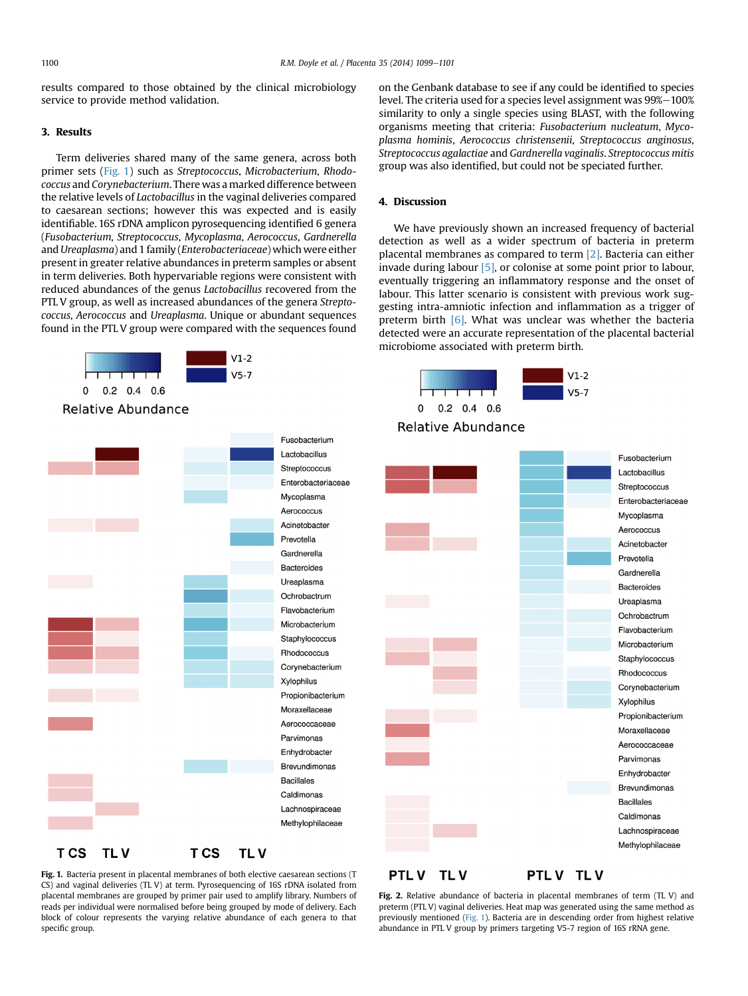<span id="page-1-0"></span>results compared to those obtained by the clinical microbiology service to provide method validation.

## 3. Results

Term deliveries shared many of the same genera, across both primer sets (Fig. 1) such as Streptococcus, Microbacterium, Rhodococcus and Corynebacterium. There was a marked difference between the relative levels of Lactobacillus in the vaginal deliveries compared to caesarean sections; however this was expected and is easily identifiable. 16S rDNA amplicon pyrosequencing identified 6 genera (Fusobacterium, Streptococcus, Mycoplasma, Aerococcus, Gardnerella and Ureaplasma) and 1 family (Enterobacteriaceae) which were either present in greater relative abundances in preterm samples or absent in term deliveries. Both hypervariable regions were consistent with reduced abundances of the genus Lactobacillus recovered from the PTL V group, as well as increased abundances of the genera Streptococcus, Aerococcus and Ureaplasma. Unique or abundant sequences found in the PTL V group were compared with the sequences found



on the Genbank database to see if any could be identified to species level. The criteria used for a species level assignment was 99%-100% similarity to only a single species using BLAST, with the following organisms meeting that criteria: Fusobacterium nucleatum, Mycoplasma hominis, Aerococcus christensenii, Streptococcus anginosus, Streptococcus agalactiae and Gardnerella vaginalis. Streptococcus mitis group was also identified, but could not be speciated further.

## 4. Discussion

We have previously shown an increased frequency of bacterial detection as well as a wider spectrum of bacteria in preterm placental membranes as compared to term [\[2\].](#page-2-0) Bacteria can either invade during labour [\[5\],](#page-2-0) or colonise at some point prior to labour, eventually triggering an inflammatory response and the onset of labour. This latter scenario is consistent with previous work suggesting intra-amniotic infection and inflammation as a trigger of preterm birth [\[6\].](#page-2-0) What was unclear was whether the bacteria detected were an accurate representation of the placental bacterial microbiome associated with preterm birth.





Fig. 1. Bacteria present in placental membranes of both elective caesarean sections (T CS) and vaginal deliveries (TL V) at term. Pyrosequencing of 16S rDNA isolated from placental membranes are grouped by primer pair used to amplify library. Numbers of reads per individual were normalised before being grouped by mode of delivery. Each block of colour represents the varying relative abundance of each genera to that specific group.